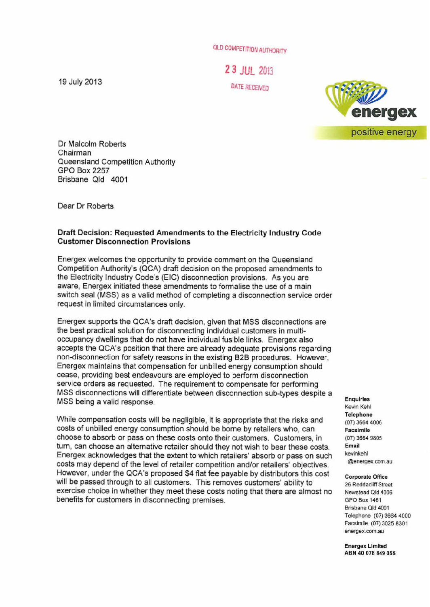OLD COMPETITION AUTHORITY

2 3 JUL *<sup>2013</sup>* DATE R£CENEO

19 July 2013



Dr Malcolm Roberts Chairman Queensland Competition Authority GPO Box 2257 Brisbane Qld 4001

Dear Dr Roberts

## Draft Decision: Requested Amendments to the Electricity Industry Code Customer Disconnection Provisions

Energex welcomes the opportunity to provide comment on the Queensland Competition Authority's (QCA) draft decision on the proposed amendments to the Electricity Industry Code's (EIC) disconnection provisions. As you are aware, Energex initiated these amendments to formalise the use of a main switch seal (MSS) as a valid method of completing a disconnection service order request in limited circumstances only.

Energex supports the QCA's draft decision, given that MSS disconnections are the best practical solution for disconnecting individual customers in multioccupancy dwellings that do not have individual fusible links. Energex also accepts the QCA's position that there are already adequate provisions regarding non-disconnection for safety reasons in the existing B2B procedures. However, Energex maintains that compensation for unbilled energy consumption should cease, providing best endeavours are employed to perform disconnection service orders as requested. The requirement to compensate for performing MSS disconnections will differentiate between disconnection sub-types despite a MSS being a valid response.

While compensation costs will be negligible, it is appropriate that the risks and costs of unbilled energy consumption should be borne by retailers who, can choose to absorb or pass on these costs onto their customers. Customers, in turn, can choose an alternative retailer should they not wish to bear these costs. Energex acknowledges that the extent to which retailers' absorb or pass on such costs may depend of the level of retailer competition and/or retailers' objectives. However, under the QCA's proposed \$4 flat fee payable by distributors this cost will be passed through to all customers. This removes customers' ability to exercise choice in whether they meet these costs noting that there are almost no benefits for customers in disconnecting premises.

Enquiries Kevin Kehl Telephone (07) 3664 4006 Facsimile (07) 3664 9805 Email kevinkehl @energex.com.au

## Corporate Office

26 Reddacliff Street Newstead Qld 4006 GPO Box 1461 Brisbane Qld 4001 Telephone (07) 3664 4000 Facsimile (07) 3025 8301 energex.com.au

Energex Limited ABN 40 078 849 055